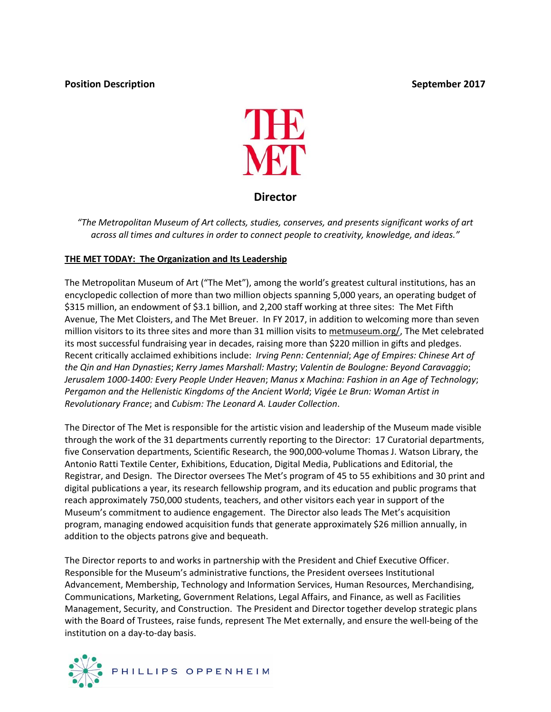# **Position Description CONSERVING SEPTEMBER September 2017**



# **Director**

*"The Metropolitan Museum of Art collects, studies, conserves, and presents significant works of art across all times and cultures in order to connect people to creativity, knowledge, and ideas."*

## **THE MET TODAY: The Organization and Its Leadership**

The Metropolitan Museum of Art ("The Met"), among the world's greatest cultural institutions, has an encyclopedic collection of more than two million objects spanning 5,000 years, an operating budget of \$315 million, an endowment of \$3.1 billion, and 2,200 staff working at three sites: The Met Fifth Avenue, The Met Cloisters, and The Met Breuer. In FY 2017, in addition to welcoming more than seven million visitors to its three sites and more than 31 million visits to [metmuseum.org/,](http://metmuseum.org/) The Met celebrated its most successful fundraising year in decades, raising more than \$220 million in gifts and pledges. Recent critically acclaimed exhibitions include: *Irving Penn: Centennial*; *Age of Empires: Chinese Art of the Qin and Han Dynasties*; *Kerry James Marshall: Mastry*; *Valentin de Boulogne: Beyond Caravaggio*; *Jerusalem 1000-1400: Every People Under Heaven*; *Manus x Machina: Fashion in an Age of Technology*; *Pergamon and the Hellenistic Kingdoms of the Ancient World*; *Vigée Le Brun: Woman Artist in Revolutionary France*; and *Cubism: The Leonard A. Lauder Collection*.

The Director of The Met is responsible for the artistic vision and leadership of the Museum made visible through the work of the 31 departments currently reporting to the Director: 17 Curatorial departments, five Conservation departments, Scientific Research, the 900,000-volume Thomas J. Watson Library, the Antonio Ratti Textile Center, Exhibitions, Education, Digital Media, Publications and Editorial, the Registrar, and Design. The Director oversees The Met's program of 45 to 55 exhibitions and 30 print and digital publications a year, its research fellowship program, and its education and public programs that reach approximately 750,000 students, teachers, and other visitors each year in support of the Museum's commitment to audience engagement. The Director also leads The Met's acquisition program, managing endowed acquisition funds that generate approximately \$26 million annually, in addition to the objects patrons give and bequeath.

The Director reports to and works in partnership with the President and Chief Executive Officer. Responsible for the Museum's administrative functions, the President oversees Institutional Advancement, Membership, Technology and Information Services, Human Resources, Merchandising, Communications, Marketing, Government Relations, Legal Affairs, and Finance, as well as Facilities Management, Security, and Construction. The President and Director together develop strategic plans with the Board of Trustees, raise funds, represent The Met externally, and ensure the well-being of the institution on a day-to-day basis.

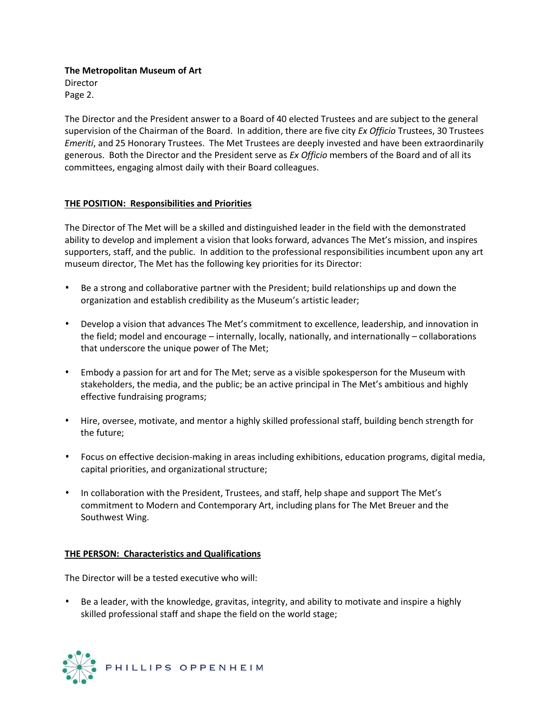**The Metropolitan Museum of Art** Director

Page 2.

The Director and the President answer to a Board of 40 elected Trustees and are subject to the general supervision of the Chairman of the Board. In addition, there are five city *Ex Officio* Trustees, 30 Trustees *Emeriti*, and 25 Honorary Trustees. The Met Trustees are deeply invested and have been extraordinarily generous. Both the Director and the President serve as *Ex Officio* members of the Board and of all its committees, engaging almost daily with their Board colleagues.

## **THE POSITION: Responsibilities and Priorities**

The Director of The Met will be a skilled and distinguished leader in the field with the demonstrated ability to develop and implement a vision that looks forward, advances The Met's mission, and inspires supporters, staff, and the public. In addition to the professional responsibilities incumbent upon any art museum director, The Met has the following key priorities for its Director:

- Be a strong and collaborative partner with the President; build relationships up and down the organization and establish credibility as the Museum's artistic leader;
- Develop a vision that advances The Met's commitment to excellence, leadership, and innovation in the field; model and encourage – internally, locally, nationally, and internationally – collaborations that underscore the unique power of The Met;
- Embody a passion for art and for The Met; serve as a visible spokesperson for the Museum with stakeholders, the media, and the public; be an active principal in The Met's ambitious and highly effective fundraising programs;
- Hire, oversee, motivate, and mentor a highly skilled professional staff, building bench strength for the future;
- Focus on effective decision-making in areas including exhibitions, education programs, digital media, capital priorities, and organizational structure;
- In collaboration with the President, Trustees, and staff, help shape and support The Met's commitment to Modern and Contemporary Art, including plans for The Met Breuer and the Southwest Wing.

### **THE PERSON: Characteristics and Qualifications**

The Director will be a tested executive who will:

• Be a leader, with the knowledge, gravitas, integrity, and ability to motivate and inspire a highly skilled professional staff and shape the field on the world stage;